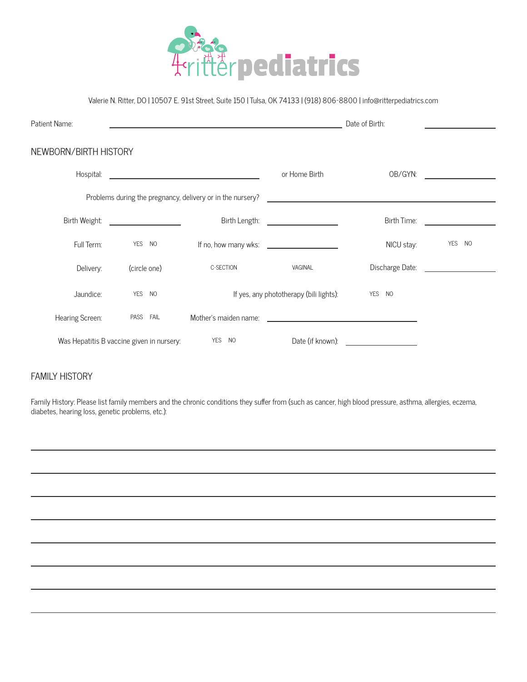

## Valerie N. Ritter, DO | 10507 E. 91st Street, Suite 150 | Tulsa, OK 74133 | (918) 806-8800 | info@ritterpediatrics.com

| Patient Name:                             |                                         |                                                            | Date of Birth:                                    |                                                                                                                       |        |
|-------------------------------------------|-----------------------------------------|------------------------------------------------------------|---------------------------------------------------|-----------------------------------------------------------------------------------------------------------------------|--------|
| NEWBORN/BIRTH HISTORY                     |                                         |                                                            |                                                   |                                                                                                                       |        |
| Hospital:                                 |                                         | <u> 1989 - Johann Barbara, martxa amerikan personal (</u>  | or Home Birth                                     | OB/GYN:                                                                                                               |        |
|                                           |                                         | Problems during the pregnancy, delivery or in the nursery? |                                                   | <u> 1989 - Johann Harry Harry Harry Harry Harry Harry Harry Harry Harry Harry Harry Harry Harry Harry Harry Harry</u> |        |
| Birth Weight:                             | <u> 1990 - Johann Barbara, martin a</u> | Birth Length:                                              | <u> The Communication of the Communication of</u> | Birth Time:                                                                                                           |        |
| Full Term:                                | YES NO                                  |                                                            | If no, how many wks:                              | NICU stay:                                                                                                            | YES NO |
| Delivery:                                 | (circle one)                            | C-SECTION                                                  | VAGINAL                                           | Discharge Date:                                                                                                       |        |
| Jaundice:                                 | YES NO                                  |                                                            | If yes, any phototherapy (bili lights):           | YES NO                                                                                                                |        |
| Hearing Screen:                           | PASS FAIL                               | Mother's maiden name:                                      |                                                   |                                                                                                                       |        |
| Was Hepatitis B vaccine given in nursery: |                                         | <b>YES</b><br>NO                                           | Date (if known):                                  |                                                                                                                       |        |

## FAMILY HISTORY

Family History: Please list family members and the chronic conditions they suffer from (such as cancer, high blood pressure, asthma, allergies, eczema, diabetes, hearing loss, genetic problems, etc.):